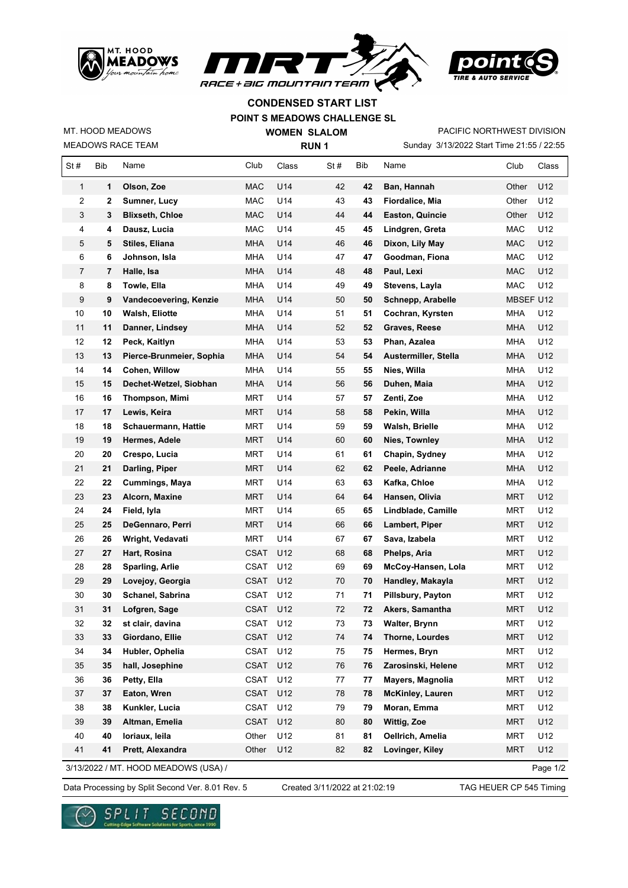





## **CONDENSED START LIST**

## **POINT S MEADOWS CHALLENGE SL**

MEADOWS RACE TEAM MT. HOOD MEADOWS

 $\mathsf{r}$ 

**WOMEN SLALOM RUN 1**

Sunday 3/13/2022 Start Time 21:55 / 22:55 PACIFIC NORTHWEST DIVISION

| $\mathbf{1}$<br>U14<br>U12<br>1<br>Olson, Zoe<br><b>MAC</b><br>42<br>42<br>Other<br>Ban, Hannah<br>2<br><b>MAC</b><br>U14<br>43<br>43<br>Fiordalice, Mia<br>Other<br>U12<br>2<br>Sumner, Lucy<br>U14<br>3<br><b>Blixseth, Chloe</b><br><b>MAC</b><br>44<br>Other<br>U12<br>3<br>44<br><b>Easton, Quincie</b><br>4<br>Dausz, Lucia<br>MAC<br>U14<br>45<br>Lindgren, Greta<br><b>MAC</b><br>U12<br>4<br>45<br>5<br>U14<br>46<br><b>MAC</b><br>U12<br>5<br>Stiles, Eliana<br>MHA<br>46<br>Dixon, Lily May<br>6<br>MHA<br>U14<br>47<br>Goodman, Fiona<br>MAC<br>U12<br>6<br>Johnson, Isla<br>47<br>7<br><b>MHA</b><br>U14<br>U12<br>7<br>Halle, Isa<br>48<br>48<br>Paul, Lexi<br>MAC<br>8<br>MHA<br>U14<br>49<br>MAC<br>U12<br>8<br>Towle, Ella<br>49<br>Stevens, Layla<br>9<br>U14<br>9<br>Vandecoevering, Kenzie<br>MHA<br>50<br>50<br>Schnepp, Arabelle<br>MBSEF U12<br>10<br>U14<br>51<br>51<br>10<br>Walsh, Eliotte<br>MHA<br>Cochran, Kyrsten<br>MHA<br>U12<br>U14<br>11<br>11<br><b>MHA</b><br>52<br>52<br><b>MHA</b><br>U12<br>Danner, Lindsey<br>Graves, Reese<br>12<br>U14<br>53<br>U12<br>12<br>Peck, Kaitlyn<br><b>MHA</b><br>53<br><b>MHA</b><br>Phan, Azalea<br>U12<br>13<br>13<br>Pierce-Brunmeier, Sophia<br>U14<br>54<br>Austermiller, Stella<br><b>MHA</b><br>MHA<br>54<br>U12<br>14<br>Cohen, Willow<br>U14<br>55<br>55<br>MHA<br>14<br>MHA<br>Nies, Willa<br>U14<br>56<br><b>MHA</b><br>U12<br>15<br>15<br>Dechet-Wetzel, Siobhan<br>MHA<br>56<br>Duhen, Maia<br>16<br>MRT<br>U14<br>57<br>57<br>Zenti, Zoe<br>MHA<br>U12<br>16<br>Thompson, Mimi<br>17<br>17<br>U14<br>U12<br>Lewis, Keira<br>MRT<br>58<br>58<br>Pekin, Willa<br>MHA<br>U12<br>18<br>Schauermann, Hattie<br>U14<br>59<br>59<br><b>MHA</b><br>18<br>MRT<br>Walsh, Brielle<br>19<br>U14<br>U12<br>19<br>Hermes, Adele<br>MRT<br>60<br>60<br>Nies, Townley<br>MHA<br>U12<br>20<br>Crespo, Lucia<br><b>MRT</b><br>U14<br>61<br>61<br><b>MHA</b><br>20<br>Chapin, Sydney<br>U14<br>21<br>21<br>Darling, Piper<br><b>MRT</b><br>62<br>62<br>U12<br>Peele, Adrianne<br>MHA<br>U12<br>22<br>Cummings, Maya<br><b>MRT</b><br>U14<br>63<br>63<br>Kafka, Chloe<br><b>MHA</b><br>22<br>23<br>23<br>U14<br>64<br>64<br>Hansen, Olivia<br><b>MRT</b><br>U12<br>Alcorn, Maxine<br>MRT<br>24<br>MRT<br>U14<br>65<br>65<br>Lindblade, Camille<br><b>MRT</b><br>U12<br>24<br>Field, lyla<br>25<br>U14<br><b>MRT</b><br>U12<br>25<br>DeGennaro, Perri<br>MRT<br>66<br>66<br>Lambert, Piper<br>26<br>Wright, Vedavati<br>MRT<br>U14<br>67<br>Sava, Izabela<br>MRT<br>U12<br>26<br>67<br>U12<br>27<br>27<br>Hart, Rosina<br>CSAT<br>U12<br>68<br>68<br>Phelps, Aria<br>MRT<br>U12<br>U12<br>28<br>28<br><b>Sparling, Arlie</b><br>CSAT<br>69<br>69<br>McCoy-Hansen, Lola<br>MRT<br><b>CSAT</b><br>U12<br>U12<br>29<br>29<br>Lovejoy, Georgia<br>70<br>70<br>Handley, Makayla<br>MRT<br>30<br>30<br><b>CSAT</b><br>U12<br>71<br><b>MRT</b><br>U12<br>Schanel, Sabrina<br>71<br>Pillsbury, Payton<br>31<br>31<br><b>CSAT</b><br>U12<br>72<br>72<br><b>MRT</b><br>U12<br>Lofgren, Sage<br>Akers, Samantha<br>CSAT<br>73<br>32<br>32<br>U12<br>73<br><b>MRT</b><br>U12<br>st clair, davina<br><b>Walter, Brynn</b><br>33<br>Giordano, Ellie<br>CSAT U12<br>74<br>U12<br>33<br>74<br>Thorne, Lourdes<br><b>MRT</b><br>34<br>34<br>Hubler, Ophelia<br><b>CSAT</b><br>U12<br>75<br><b>MRT</b><br>U12<br>75<br>Hermes, Bryn<br>U12<br>U12<br>35<br>35<br>hall, Josephine<br><b>CSAT</b><br>76<br>76<br>Zarosinski, Helene<br><b>MRT</b><br>Petty, Ella<br>CSAT<br>U12<br>77<br>U12<br>36<br>36<br>77<br>Mayers, Magnolia<br><b>MRT</b><br>U12<br>Eaton, Wren<br><b>CSAT</b><br>McKinley, Lauren<br><b>MRT</b><br>U12<br>37<br>37<br>78<br>78<br>U12<br>Kunkler, Lucia<br>CSAT<br>Moran, Emma<br><b>MRT</b><br>U12<br>38<br>38<br>79<br>79<br><b>CSAT</b><br>U12<br>U12<br>39<br>39<br>Altman, Emelia<br>Wittig, Zoe<br><b>MRT</b><br>80<br>80<br>40<br>loriaux, leila<br>Other<br>U12<br>81<br>U12<br>40<br>81<br>Oellrich, Amelia<br><b>MRT</b><br>41<br>U12<br>41<br>Prett, Alexandra<br>Other<br>82<br>82<br>Lovinger, Kiley<br><b>MRT</b><br>U12 | St# | Bib | Name | Club | Class | St# | Bib | Name | Club | Class |
|----------------------------------------------------------------------------------------------------------------------------------------------------------------------------------------------------------------------------------------------------------------------------------------------------------------------------------------------------------------------------------------------------------------------------------------------------------------------------------------------------------------------------------------------------------------------------------------------------------------------------------------------------------------------------------------------------------------------------------------------------------------------------------------------------------------------------------------------------------------------------------------------------------------------------------------------------------------------------------------------------------------------------------------------------------------------------------------------------------------------------------------------------------------------------------------------------------------------------------------------------------------------------------------------------------------------------------------------------------------------------------------------------------------------------------------------------------------------------------------------------------------------------------------------------------------------------------------------------------------------------------------------------------------------------------------------------------------------------------------------------------------------------------------------------------------------------------------------------------------------------------------------------------------------------------------------------------------------------------------------------------------------------------------------------------------------------------------------------------------------------------------------------------------------------------------------------------------------------------------------------------------------------------------------------------------------------------------------------------------------------------------------------------------------------------------------------------------------------------------------------------------------------------------------------------------------------------------------------------------------------------------------------------------------------------------------------------------------------------------------------------------------------------------------------------------------------------------------------------------------------------------------------------------------------------------------------------------------------------------------------------------------------------------------------------------------------------------------------------------------------------------------------------------------------------------------------------------------------------------------------------------------------------------------------------------------------------------------------------------------------------------------------------------------------------------------------------------------------------------------------------------------------------------------------------------------------------------------------------------------------------------------------------------------------------------------------------------------------------------------------------------------------------------------------------------------------------------------------------------------------------------------------------------------------------------------------------------------------------------------------------------------------------------------------------------------------------------------------------|-----|-----|------|------|-------|-----|-----|------|------|-------|
|                                                                                                                                                                                                                                                                                                                                                                                                                                                                                                                                                                                                                                                                                                                                                                                                                                                                                                                                                                                                                                                                                                                                                                                                                                                                                                                                                                                                                                                                                                                                                                                                                                                                                                                                                                                                                                                                                                                                                                                                                                                                                                                                                                                                                                                                                                                                                                                                                                                                                                                                                                                                                                                                                                                                                                                                                                                                                                                                                                                                                                                                                                                                                                                                                                                                                                                                                                                                                                                                                                                                                                                                                                                                                                                                                                                                                                                                                                                                                                                                                                                                                                          |     |     |      |      |       |     |     |      |      |       |
|                                                                                                                                                                                                                                                                                                                                                                                                                                                                                                                                                                                                                                                                                                                                                                                                                                                                                                                                                                                                                                                                                                                                                                                                                                                                                                                                                                                                                                                                                                                                                                                                                                                                                                                                                                                                                                                                                                                                                                                                                                                                                                                                                                                                                                                                                                                                                                                                                                                                                                                                                                                                                                                                                                                                                                                                                                                                                                                                                                                                                                                                                                                                                                                                                                                                                                                                                                                                                                                                                                                                                                                                                                                                                                                                                                                                                                                                                                                                                                                                                                                                                                          |     |     |      |      |       |     |     |      |      |       |
|                                                                                                                                                                                                                                                                                                                                                                                                                                                                                                                                                                                                                                                                                                                                                                                                                                                                                                                                                                                                                                                                                                                                                                                                                                                                                                                                                                                                                                                                                                                                                                                                                                                                                                                                                                                                                                                                                                                                                                                                                                                                                                                                                                                                                                                                                                                                                                                                                                                                                                                                                                                                                                                                                                                                                                                                                                                                                                                                                                                                                                                                                                                                                                                                                                                                                                                                                                                                                                                                                                                                                                                                                                                                                                                                                                                                                                                                                                                                                                                                                                                                                                          |     |     |      |      |       |     |     |      |      |       |
|                                                                                                                                                                                                                                                                                                                                                                                                                                                                                                                                                                                                                                                                                                                                                                                                                                                                                                                                                                                                                                                                                                                                                                                                                                                                                                                                                                                                                                                                                                                                                                                                                                                                                                                                                                                                                                                                                                                                                                                                                                                                                                                                                                                                                                                                                                                                                                                                                                                                                                                                                                                                                                                                                                                                                                                                                                                                                                                                                                                                                                                                                                                                                                                                                                                                                                                                                                                                                                                                                                                                                                                                                                                                                                                                                                                                                                                                                                                                                                                                                                                                                                          |     |     |      |      |       |     |     |      |      |       |
|                                                                                                                                                                                                                                                                                                                                                                                                                                                                                                                                                                                                                                                                                                                                                                                                                                                                                                                                                                                                                                                                                                                                                                                                                                                                                                                                                                                                                                                                                                                                                                                                                                                                                                                                                                                                                                                                                                                                                                                                                                                                                                                                                                                                                                                                                                                                                                                                                                                                                                                                                                                                                                                                                                                                                                                                                                                                                                                                                                                                                                                                                                                                                                                                                                                                                                                                                                                                                                                                                                                                                                                                                                                                                                                                                                                                                                                                                                                                                                                                                                                                                                          |     |     |      |      |       |     |     |      |      |       |
|                                                                                                                                                                                                                                                                                                                                                                                                                                                                                                                                                                                                                                                                                                                                                                                                                                                                                                                                                                                                                                                                                                                                                                                                                                                                                                                                                                                                                                                                                                                                                                                                                                                                                                                                                                                                                                                                                                                                                                                                                                                                                                                                                                                                                                                                                                                                                                                                                                                                                                                                                                                                                                                                                                                                                                                                                                                                                                                                                                                                                                                                                                                                                                                                                                                                                                                                                                                                                                                                                                                                                                                                                                                                                                                                                                                                                                                                                                                                                                                                                                                                                                          |     |     |      |      |       |     |     |      |      |       |
|                                                                                                                                                                                                                                                                                                                                                                                                                                                                                                                                                                                                                                                                                                                                                                                                                                                                                                                                                                                                                                                                                                                                                                                                                                                                                                                                                                                                                                                                                                                                                                                                                                                                                                                                                                                                                                                                                                                                                                                                                                                                                                                                                                                                                                                                                                                                                                                                                                                                                                                                                                                                                                                                                                                                                                                                                                                                                                                                                                                                                                                                                                                                                                                                                                                                                                                                                                                                                                                                                                                                                                                                                                                                                                                                                                                                                                                                                                                                                                                                                                                                                                          |     |     |      |      |       |     |     |      |      |       |
|                                                                                                                                                                                                                                                                                                                                                                                                                                                                                                                                                                                                                                                                                                                                                                                                                                                                                                                                                                                                                                                                                                                                                                                                                                                                                                                                                                                                                                                                                                                                                                                                                                                                                                                                                                                                                                                                                                                                                                                                                                                                                                                                                                                                                                                                                                                                                                                                                                                                                                                                                                                                                                                                                                                                                                                                                                                                                                                                                                                                                                                                                                                                                                                                                                                                                                                                                                                                                                                                                                                                                                                                                                                                                                                                                                                                                                                                                                                                                                                                                                                                                                          |     |     |      |      |       |     |     |      |      |       |
|                                                                                                                                                                                                                                                                                                                                                                                                                                                                                                                                                                                                                                                                                                                                                                                                                                                                                                                                                                                                                                                                                                                                                                                                                                                                                                                                                                                                                                                                                                                                                                                                                                                                                                                                                                                                                                                                                                                                                                                                                                                                                                                                                                                                                                                                                                                                                                                                                                                                                                                                                                                                                                                                                                                                                                                                                                                                                                                                                                                                                                                                                                                                                                                                                                                                                                                                                                                                                                                                                                                                                                                                                                                                                                                                                                                                                                                                                                                                                                                                                                                                                                          |     |     |      |      |       |     |     |      |      |       |
|                                                                                                                                                                                                                                                                                                                                                                                                                                                                                                                                                                                                                                                                                                                                                                                                                                                                                                                                                                                                                                                                                                                                                                                                                                                                                                                                                                                                                                                                                                                                                                                                                                                                                                                                                                                                                                                                                                                                                                                                                                                                                                                                                                                                                                                                                                                                                                                                                                                                                                                                                                                                                                                                                                                                                                                                                                                                                                                                                                                                                                                                                                                                                                                                                                                                                                                                                                                                                                                                                                                                                                                                                                                                                                                                                                                                                                                                                                                                                                                                                                                                                                          |     |     |      |      |       |     |     |      |      |       |
|                                                                                                                                                                                                                                                                                                                                                                                                                                                                                                                                                                                                                                                                                                                                                                                                                                                                                                                                                                                                                                                                                                                                                                                                                                                                                                                                                                                                                                                                                                                                                                                                                                                                                                                                                                                                                                                                                                                                                                                                                                                                                                                                                                                                                                                                                                                                                                                                                                                                                                                                                                                                                                                                                                                                                                                                                                                                                                                                                                                                                                                                                                                                                                                                                                                                                                                                                                                                                                                                                                                                                                                                                                                                                                                                                                                                                                                                                                                                                                                                                                                                                                          |     |     |      |      |       |     |     |      |      |       |
|                                                                                                                                                                                                                                                                                                                                                                                                                                                                                                                                                                                                                                                                                                                                                                                                                                                                                                                                                                                                                                                                                                                                                                                                                                                                                                                                                                                                                                                                                                                                                                                                                                                                                                                                                                                                                                                                                                                                                                                                                                                                                                                                                                                                                                                                                                                                                                                                                                                                                                                                                                                                                                                                                                                                                                                                                                                                                                                                                                                                                                                                                                                                                                                                                                                                                                                                                                                                                                                                                                                                                                                                                                                                                                                                                                                                                                                                                                                                                                                                                                                                                                          |     |     |      |      |       |     |     |      |      |       |
|                                                                                                                                                                                                                                                                                                                                                                                                                                                                                                                                                                                                                                                                                                                                                                                                                                                                                                                                                                                                                                                                                                                                                                                                                                                                                                                                                                                                                                                                                                                                                                                                                                                                                                                                                                                                                                                                                                                                                                                                                                                                                                                                                                                                                                                                                                                                                                                                                                                                                                                                                                                                                                                                                                                                                                                                                                                                                                                                                                                                                                                                                                                                                                                                                                                                                                                                                                                                                                                                                                                                                                                                                                                                                                                                                                                                                                                                                                                                                                                                                                                                                                          |     |     |      |      |       |     |     |      |      |       |
|                                                                                                                                                                                                                                                                                                                                                                                                                                                                                                                                                                                                                                                                                                                                                                                                                                                                                                                                                                                                                                                                                                                                                                                                                                                                                                                                                                                                                                                                                                                                                                                                                                                                                                                                                                                                                                                                                                                                                                                                                                                                                                                                                                                                                                                                                                                                                                                                                                                                                                                                                                                                                                                                                                                                                                                                                                                                                                                                                                                                                                                                                                                                                                                                                                                                                                                                                                                                                                                                                                                                                                                                                                                                                                                                                                                                                                                                                                                                                                                                                                                                                                          |     |     |      |      |       |     |     |      |      |       |
|                                                                                                                                                                                                                                                                                                                                                                                                                                                                                                                                                                                                                                                                                                                                                                                                                                                                                                                                                                                                                                                                                                                                                                                                                                                                                                                                                                                                                                                                                                                                                                                                                                                                                                                                                                                                                                                                                                                                                                                                                                                                                                                                                                                                                                                                                                                                                                                                                                                                                                                                                                                                                                                                                                                                                                                                                                                                                                                                                                                                                                                                                                                                                                                                                                                                                                                                                                                                                                                                                                                                                                                                                                                                                                                                                                                                                                                                                                                                                                                                                                                                                                          |     |     |      |      |       |     |     |      |      |       |
|                                                                                                                                                                                                                                                                                                                                                                                                                                                                                                                                                                                                                                                                                                                                                                                                                                                                                                                                                                                                                                                                                                                                                                                                                                                                                                                                                                                                                                                                                                                                                                                                                                                                                                                                                                                                                                                                                                                                                                                                                                                                                                                                                                                                                                                                                                                                                                                                                                                                                                                                                                                                                                                                                                                                                                                                                                                                                                                                                                                                                                                                                                                                                                                                                                                                                                                                                                                                                                                                                                                                                                                                                                                                                                                                                                                                                                                                                                                                                                                                                                                                                                          |     |     |      |      |       |     |     |      |      |       |
|                                                                                                                                                                                                                                                                                                                                                                                                                                                                                                                                                                                                                                                                                                                                                                                                                                                                                                                                                                                                                                                                                                                                                                                                                                                                                                                                                                                                                                                                                                                                                                                                                                                                                                                                                                                                                                                                                                                                                                                                                                                                                                                                                                                                                                                                                                                                                                                                                                                                                                                                                                                                                                                                                                                                                                                                                                                                                                                                                                                                                                                                                                                                                                                                                                                                                                                                                                                                                                                                                                                                                                                                                                                                                                                                                                                                                                                                                                                                                                                                                                                                                                          |     |     |      |      |       |     |     |      |      |       |
|                                                                                                                                                                                                                                                                                                                                                                                                                                                                                                                                                                                                                                                                                                                                                                                                                                                                                                                                                                                                                                                                                                                                                                                                                                                                                                                                                                                                                                                                                                                                                                                                                                                                                                                                                                                                                                                                                                                                                                                                                                                                                                                                                                                                                                                                                                                                                                                                                                                                                                                                                                                                                                                                                                                                                                                                                                                                                                                                                                                                                                                                                                                                                                                                                                                                                                                                                                                                                                                                                                                                                                                                                                                                                                                                                                                                                                                                                                                                                                                                                                                                                                          |     |     |      |      |       |     |     |      |      |       |
|                                                                                                                                                                                                                                                                                                                                                                                                                                                                                                                                                                                                                                                                                                                                                                                                                                                                                                                                                                                                                                                                                                                                                                                                                                                                                                                                                                                                                                                                                                                                                                                                                                                                                                                                                                                                                                                                                                                                                                                                                                                                                                                                                                                                                                                                                                                                                                                                                                                                                                                                                                                                                                                                                                                                                                                                                                                                                                                                                                                                                                                                                                                                                                                                                                                                                                                                                                                                                                                                                                                                                                                                                                                                                                                                                                                                                                                                                                                                                                                                                                                                                                          |     |     |      |      |       |     |     |      |      |       |
|                                                                                                                                                                                                                                                                                                                                                                                                                                                                                                                                                                                                                                                                                                                                                                                                                                                                                                                                                                                                                                                                                                                                                                                                                                                                                                                                                                                                                                                                                                                                                                                                                                                                                                                                                                                                                                                                                                                                                                                                                                                                                                                                                                                                                                                                                                                                                                                                                                                                                                                                                                                                                                                                                                                                                                                                                                                                                                                                                                                                                                                                                                                                                                                                                                                                                                                                                                                                                                                                                                                                                                                                                                                                                                                                                                                                                                                                                                                                                                                                                                                                                                          |     |     |      |      |       |     |     |      |      |       |
|                                                                                                                                                                                                                                                                                                                                                                                                                                                                                                                                                                                                                                                                                                                                                                                                                                                                                                                                                                                                                                                                                                                                                                                                                                                                                                                                                                                                                                                                                                                                                                                                                                                                                                                                                                                                                                                                                                                                                                                                                                                                                                                                                                                                                                                                                                                                                                                                                                                                                                                                                                                                                                                                                                                                                                                                                                                                                                                                                                                                                                                                                                                                                                                                                                                                                                                                                                                                                                                                                                                                                                                                                                                                                                                                                                                                                                                                                                                                                                                                                                                                                                          |     |     |      |      |       |     |     |      |      |       |
|                                                                                                                                                                                                                                                                                                                                                                                                                                                                                                                                                                                                                                                                                                                                                                                                                                                                                                                                                                                                                                                                                                                                                                                                                                                                                                                                                                                                                                                                                                                                                                                                                                                                                                                                                                                                                                                                                                                                                                                                                                                                                                                                                                                                                                                                                                                                                                                                                                                                                                                                                                                                                                                                                                                                                                                                                                                                                                                                                                                                                                                                                                                                                                                                                                                                                                                                                                                                                                                                                                                                                                                                                                                                                                                                                                                                                                                                                                                                                                                                                                                                                                          |     |     |      |      |       |     |     |      |      |       |
|                                                                                                                                                                                                                                                                                                                                                                                                                                                                                                                                                                                                                                                                                                                                                                                                                                                                                                                                                                                                                                                                                                                                                                                                                                                                                                                                                                                                                                                                                                                                                                                                                                                                                                                                                                                                                                                                                                                                                                                                                                                                                                                                                                                                                                                                                                                                                                                                                                                                                                                                                                                                                                                                                                                                                                                                                                                                                                                                                                                                                                                                                                                                                                                                                                                                                                                                                                                                                                                                                                                                                                                                                                                                                                                                                                                                                                                                                                                                                                                                                                                                                                          |     |     |      |      |       |     |     |      |      |       |
|                                                                                                                                                                                                                                                                                                                                                                                                                                                                                                                                                                                                                                                                                                                                                                                                                                                                                                                                                                                                                                                                                                                                                                                                                                                                                                                                                                                                                                                                                                                                                                                                                                                                                                                                                                                                                                                                                                                                                                                                                                                                                                                                                                                                                                                                                                                                                                                                                                                                                                                                                                                                                                                                                                                                                                                                                                                                                                                                                                                                                                                                                                                                                                                                                                                                                                                                                                                                                                                                                                                                                                                                                                                                                                                                                                                                                                                                                                                                                                                                                                                                                                          |     |     |      |      |       |     |     |      |      |       |
|                                                                                                                                                                                                                                                                                                                                                                                                                                                                                                                                                                                                                                                                                                                                                                                                                                                                                                                                                                                                                                                                                                                                                                                                                                                                                                                                                                                                                                                                                                                                                                                                                                                                                                                                                                                                                                                                                                                                                                                                                                                                                                                                                                                                                                                                                                                                                                                                                                                                                                                                                                                                                                                                                                                                                                                                                                                                                                                                                                                                                                                                                                                                                                                                                                                                                                                                                                                                                                                                                                                                                                                                                                                                                                                                                                                                                                                                                                                                                                                                                                                                                                          |     |     |      |      |       |     |     |      |      |       |
|                                                                                                                                                                                                                                                                                                                                                                                                                                                                                                                                                                                                                                                                                                                                                                                                                                                                                                                                                                                                                                                                                                                                                                                                                                                                                                                                                                                                                                                                                                                                                                                                                                                                                                                                                                                                                                                                                                                                                                                                                                                                                                                                                                                                                                                                                                                                                                                                                                                                                                                                                                                                                                                                                                                                                                                                                                                                                                                                                                                                                                                                                                                                                                                                                                                                                                                                                                                                                                                                                                                                                                                                                                                                                                                                                                                                                                                                                                                                                                                                                                                                                                          |     |     |      |      |       |     |     |      |      |       |
|                                                                                                                                                                                                                                                                                                                                                                                                                                                                                                                                                                                                                                                                                                                                                                                                                                                                                                                                                                                                                                                                                                                                                                                                                                                                                                                                                                                                                                                                                                                                                                                                                                                                                                                                                                                                                                                                                                                                                                                                                                                                                                                                                                                                                                                                                                                                                                                                                                                                                                                                                                                                                                                                                                                                                                                                                                                                                                                                                                                                                                                                                                                                                                                                                                                                                                                                                                                                                                                                                                                                                                                                                                                                                                                                                                                                                                                                                                                                                                                                                                                                                                          |     |     |      |      |       |     |     |      |      |       |
|                                                                                                                                                                                                                                                                                                                                                                                                                                                                                                                                                                                                                                                                                                                                                                                                                                                                                                                                                                                                                                                                                                                                                                                                                                                                                                                                                                                                                                                                                                                                                                                                                                                                                                                                                                                                                                                                                                                                                                                                                                                                                                                                                                                                                                                                                                                                                                                                                                                                                                                                                                                                                                                                                                                                                                                                                                                                                                                                                                                                                                                                                                                                                                                                                                                                                                                                                                                                                                                                                                                                                                                                                                                                                                                                                                                                                                                                                                                                                                                                                                                                                                          |     |     |      |      |       |     |     |      |      |       |
|                                                                                                                                                                                                                                                                                                                                                                                                                                                                                                                                                                                                                                                                                                                                                                                                                                                                                                                                                                                                                                                                                                                                                                                                                                                                                                                                                                                                                                                                                                                                                                                                                                                                                                                                                                                                                                                                                                                                                                                                                                                                                                                                                                                                                                                                                                                                                                                                                                                                                                                                                                                                                                                                                                                                                                                                                                                                                                                                                                                                                                                                                                                                                                                                                                                                                                                                                                                                                                                                                                                                                                                                                                                                                                                                                                                                                                                                                                                                                                                                                                                                                                          |     |     |      |      |       |     |     |      |      |       |
|                                                                                                                                                                                                                                                                                                                                                                                                                                                                                                                                                                                                                                                                                                                                                                                                                                                                                                                                                                                                                                                                                                                                                                                                                                                                                                                                                                                                                                                                                                                                                                                                                                                                                                                                                                                                                                                                                                                                                                                                                                                                                                                                                                                                                                                                                                                                                                                                                                                                                                                                                                                                                                                                                                                                                                                                                                                                                                                                                                                                                                                                                                                                                                                                                                                                                                                                                                                                                                                                                                                                                                                                                                                                                                                                                                                                                                                                                                                                                                                                                                                                                                          |     |     |      |      |       |     |     |      |      |       |
|                                                                                                                                                                                                                                                                                                                                                                                                                                                                                                                                                                                                                                                                                                                                                                                                                                                                                                                                                                                                                                                                                                                                                                                                                                                                                                                                                                                                                                                                                                                                                                                                                                                                                                                                                                                                                                                                                                                                                                                                                                                                                                                                                                                                                                                                                                                                                                                                                                                                                                                                                                                                                                                                                                                                                                                                                                                                                                                                                                                                                                                                                                                                                                                                                                                                                                                                                                                                                                                                                                                                                                                                                                                                                                                                                                                                                                                                                                                                                                                                                                                                                                          |     |     |      |      |       |     |     |      |      |       |
|                                                                                                                                                                                                                                                                                                                                                                                                                                                                                                                                                                                                                                                                                                                                                                                                                                                                                                                                                                                                                                                                                                                                                                                                                                                                                                                                                                                                                                                                                                                                                                                                                                                                                                                                                                                                                                                                                                                                                                                                                                                                                                                                                                                                                                                                                                                                                                                                                                                                                                                                                                                                                                                                                                                                                                                                                                                                                                                                                                                                                                                                                                                                                                                                                                                                                                                                                                                                                                                                                                                                                                                                                                                                                                                                                                                                                                                                                                                                                                                                                                                                                                          |     |     |      |      |       |     |     |      |      |       |
|                                                                                                                                                                                                                                                                                                                                                                                                                                                                                                                                                                                                                                                                                                                                                                                                                                                                                                                                                                                                                                                                                                                                                                                                                                                                                                                                                                                                                                                                                                                                                                                                                                                                                                                                                                                                                                                                                                                                                                                                                                                                                                                                                                                                                                                                                                                                                                                                                                                                                                                                                                                                                                                                                                                                                                                                                                                                                                                                                                                                                                                                                                                                                                                                                                                                                                                                                                                                                                                                                                                                                                                                                                                                                                                                                                                                                                                                                                                                                                                                                                                                                                          |     |     |      |      |       |     |     |      |      |       |
|                                                                                                                                                                                                                                                                                                                                                                                                                                                                                                                                                                                                                                                                                                                                                                                                                                                                                                                                                                                                                                                                                                                                                                                                                                                                                                                                                                                                                                                                                                                                                                                                                                                                                                                                                                                                                                                                                                                                                                                                                                                                                                                                                                                                                                                                                                                                                                                                                                                                                                                                                                                                                                                                                                                                                                                                                                                                                                                                                                                                                                                                                                                                                                                                                                                                                                                                                                                                                                                                                                                                                                                                                                                                                                                                                                                                                                                                                                                                                                                                                                                                                                          |     |     |      |      |       |     |     |      |      |       |
|                                                                                                                                                                                                                                                                                                                                                                                                                                                                                                                                                                                                                                                                                                                                                                                                                                                                                                                                                                                                                                                                                                                                                                                                                                                                                                                                                                                                                                                                                                                                                                                                                                                                                                                                                                                                                                                                                                                                                                                                                                                                                                                                                                                                                                                                                                                                                                                                                                                                                                                                                                                                                                                                                                                                                                                                                                                                                                                                                                                                                                                                                                                                                                                                                                                                                                                                                                                                                                                                                                                                                                                                                                                                                                                                                                                                                                                                                                                                                                                                                                                                                                          |     |     |      |      |       |     |     |      |      |       |
|                                                                                                                                                                                                                                                                                                                                                                                                                                                                                                                                                                                                                                                                                                                                                                                                                                                                                                                                                                                                                                                                                                                                                                                                                                                                                                                                                                                                                                                                                                                                                                                                                                                                                                                                                                                                                                                                                                                                                                                                                                                                                                                                                                                                                                                                                                                                                                                                                                                                                                                                                                                                                                                                                                                                                                                                                                                                                                                                                                                                                                                                                                                                                                                                                                                                                                                                                                                                                                                                                                                                                                                                                                                                                                                                                                                                                                                                                                                                                                                                                                                                                                          |     |     |      |      |       |     |     |      |      |       |
|                                                                                                                                                                                                                                                                                                                                                                                                                                                                                                                                                                                                                                                                                                                                                                                                                                                                                                                                                                                                                                                                                                                                                                                                                                                                                                                                                                                                                                                                                                                                                                                                                                                                                                                                                                                                                                                                                                                                                                                                                                                                                                                                                                                                                                                                                                                                                                                                                                                                                                                                                                                                                                                                                                                                                                                                                                                                                                                                                                                                                                                                                                                                                                                                                                                                                                                                                                                                                                                                                                                                                                                                                                                                                                                                                                                                                                                                                                                                                                                                                                                                                                          |     |     |      |      |       |     |     |      |      |       |
|                                                                                                                                                                                                                                                                                                                                                                                                                                                                                                                                                                                                                                                                                                                                                                                                                                                                                                                                                                                                                                                                                                                                                                                                                                                                                                                                                                                                                                                                                                                                                                                                                                                                                                                                                                                                                                                                                                                                                                                                                                                                                                                                                                                                                                                                                                                                                                                                                                                                                                                                                                                                                                                                                                                                                                                                                                                                                                                                                                                                                                                                                                                                                                                                                                                                                                                                                                                                                                                                                                                                                                                                                                                                                                                                                                                                                                                                                                                                                                                                                                                                                                          |     |     |      |      |       |     |     |      |      |       |
|                                                                                                                                                                                                                                                                                                                                                                                                                                                                                                                                                                                                                                                                                                                                                                                                                                                                                                                                                                                                                                                                                                                                                                                                                                                                                                                                                                                                                                                                                                                                                                                                                                                                                                                                                                                                                                                                                                                                                                                                                                                                                                                                                                                                                                                                                                                                                                                                                                                                                                                                                                                                                                                                                                                                                                                                                                                                                                                                                                                                                                                                                                                                                                                                                                                                                                                                                                                                                                                                                                                                                                                                                                                                                                                                                                                                                                                                                                                                                                                                                                                                                                          |     |     |      |      |       |     |     |      |      |       |
|                                                                                                                                                                                                                                                                                                                                                                                                                                                                                                                                                                                                                                                                                                                                                                                                                                                                                                                                                                                                                                                                                                                                                                                                                                                                                                                                                                                                                                                                                                                                                                                                                                                                                                                                                                                                                                                                                                                                                                                                                                                                                                                                                                                                                                                                                                                                                                                                                                                                                                                                                                                                                                                                                                                                                                                                                                                                                                                                                                                                                                                                                                                                                                                                                                                                                                                                                                                                                                                                                                                                                                                                                                                                                                                                                                                                                                                                                                                                                                                                                                                                                                          |     |     |      |      |       |     |     |      |      |       |
|                                                                                                                                                                                                                                                                                                                                                                                                                                                                                                                                                                                                                                                                                                                                                                                                                                                                                                                                                                                                                                                                                                                                                                                                                                                                                                                                                                                                                                                                                                                                                                                                                                                                                                                                                                                                                                                                                                                                                                                                                                                                                                                                                                                                                                                                                                                                                                                                                                                                                                                                                                                                                                                                                                                                                                                                                                                                                                                                                                                                                                                                                                                                                                                                                                                                                                                                                                                                                                                                                                                                                                                                                                                                                                                                                                                                                                                                                                                                                                                                                                                                                                          |     |     |      |      |       |     |     |      |      |       |

3/13/2022 / MT. HOOD MEADOWS (USA) /

Page 1/2

Data Processing by Split Second Ver. 8.01 Rev. 5 Created 3/11/2022 at 21:02:19 TAG HEUER CP 545 Timing

Created 3/11/2022 at 21:02:19